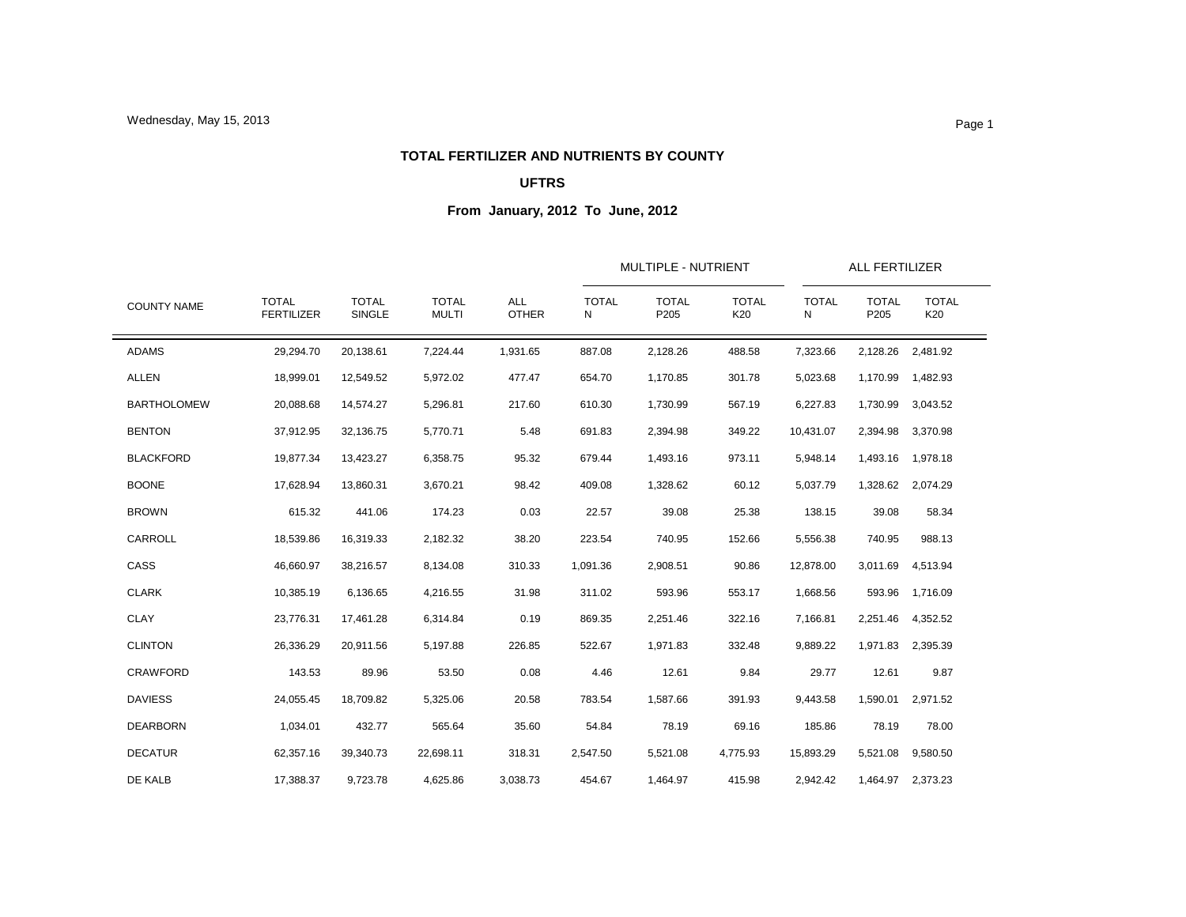### **TOTAL FERTILIZER AND NUTRIENTS BY COUNTY**

## **UFTRS**

|                    |                                   |                               |                              |                            |                   | MULTIPLE - NUTRIENT  |                     |                   | ALL FERTILIZER       |                     |  |
|--------------------|-----------------------------------|-------------------------------|------------------------------|----------------------------|-------------------|----------------------|---------------------|-------------------|----------------------|---------------------|--|
| <b>COUNTY NAME</b> | <b>TOTAL</b><br><b>FERTILIZER</b> | <b>TOTAL</b><br><b>SINGLE</b> | <b>TOTAL</b><br><b>MULTI</b> | <b>ALL</b><br><b>OTHER</b> | <b>TOTAL</b><br>Ν | <b>TOTAL</b><br>P205 | <b>TOTAL</b><br>K20 | <b>TOTAL</b><br>N | <b>TOTAL</b><br>P205 | <b>TOTAL</b><br>K20 |  |
| <b>ADAMS</b>       | 29,294.70                         | 20,138.61                     | 7,224.44                     | 1,931.65                   | 887.08            | 2,128.26             | 488.58              | 7,323.66          | 2,128.26             | 2,481.92            |  |
| <b>ALLEN</b>       | 18,999.01                         | 12,549.52                     | 5,972.02                     | 477.47                     | 654.70            | 1,170.85             | 301.78              | 5,023.68          | 1,170.99             | 1,482.93            |  |
| <b>BARTHOLOMEW</b> | 20,088.68                         | 14,574.27                     | 5,296.81                     | 217.60                     | 610.30            | 1,730.99             | 567.19              | 6,227.83          | 1,730.99             | 3,043.52            |  |
| <b>BENTON</b>      | 37,912.95                         | 32,136.75                     | 5,770.71                     | 5.48                       | 691.83            | 2,394.98             | 349.22              | 10,431.07         | 2,394.98             | 3,370.98            |  |
| <b>BLACKFORD</b>   | 19,877.34                         | 13,423.27                     | 6,358.75                     | 95.32                      | 679.44            | 1,493.16             | 973.11              | 5,948.14          | 1,493.16             | 1,978.18            |  |
| <b>BOONE</b>       | 17,628.94                         | 13,860.31                     | 3,670.21                     | 98.42                      | 409.08            | 1,328.62             | 60.12               | 5,037.79          | 1,328.62             | 2,074.29            |  |
| <b>BROWN</b>       | 615.32                            | 441.06                        | 174.23                       | 0.03                       | 22.57             | 39.08                | 25.38               | 138.15            | 39.08                | 58.34               |  |
| CARROLL            | 18,539.86                         | 16,319.33                     | 2,182.32                     | 38.20                      | 223.54            | 740.95               | 152.66              | 5,556.38          | 740.95               | 988.13              |  |
| CASS               | 46,660.97                         | 38,216.57                     | 8,134.08                     | 310.33                     | 1,091.36          | 2,908.51             | 90.86               | 12,878.00         | 3,011.69             | 4,513.94            |  |
| <b>CLARK</b>       | 10,385.19                         | 6,136.65                      | 4,216.55                     | 31.98                      | 311.02            | 593.96               | 553.17              | 1,668.56          | 593.96               | 1,716.09            |  |
| <b>CLAY</b>        | 23,776.31                         | 17,461.28                     | 6,314.84                     | 0.19                       | 869.35            | 2,251.46             | 322.16              | 7,166.81          | 2,251.46             | 4,352.52            |  |
| <b>CLINTON</b>     | 26,336.29                         | 20,911.56                     | 5,197.88                     | 226.85                     | 522.67            | 1,971.83             | 332.48              | 9,889.22          | 1,971.83             | 2,395.39            |  |
| <b>CRAWFORD</b>    | 143.53                            | 89.96                         | 53.50                        | 0.08                       | 4.46              | 12.61                | 9.84                | 29.77             | 12.61                | 9.87                |  |
| <b>DAVIESS</b>     | 24,055.45                         | 18,709.82                     | 5,325.06                     | 20.58                      | 783.54            | 1,587.66             | 391.93              | 9,443.58          | 1,590.01             | 2,971.52            |  |
| <b>DEARBORN</b>    | 1,034.01                          | 432.77                        | 565.64                       | 35.60                      | 54.84             | 78.19                | 69.16               | 185.86            | 78.19                | 78.00               |  |
| <b>DECATUR</b>     | 62,357.16                         | 39,340.73                     | 22,698.11                    | 318.31                     | 2,547.50          | 5,521.08             | 4,775.93            | 15,893.29         | 5,521.08             | 9,580.50            |  |
| DE KALB            | 17,388.37                         | 9,723.78                      | 4,625.86                     | 3,038.73                   | 454.67            | 1,464.97             | 415.98              | 2,942.42          |                      | 1,464.97 2,373.23   |  |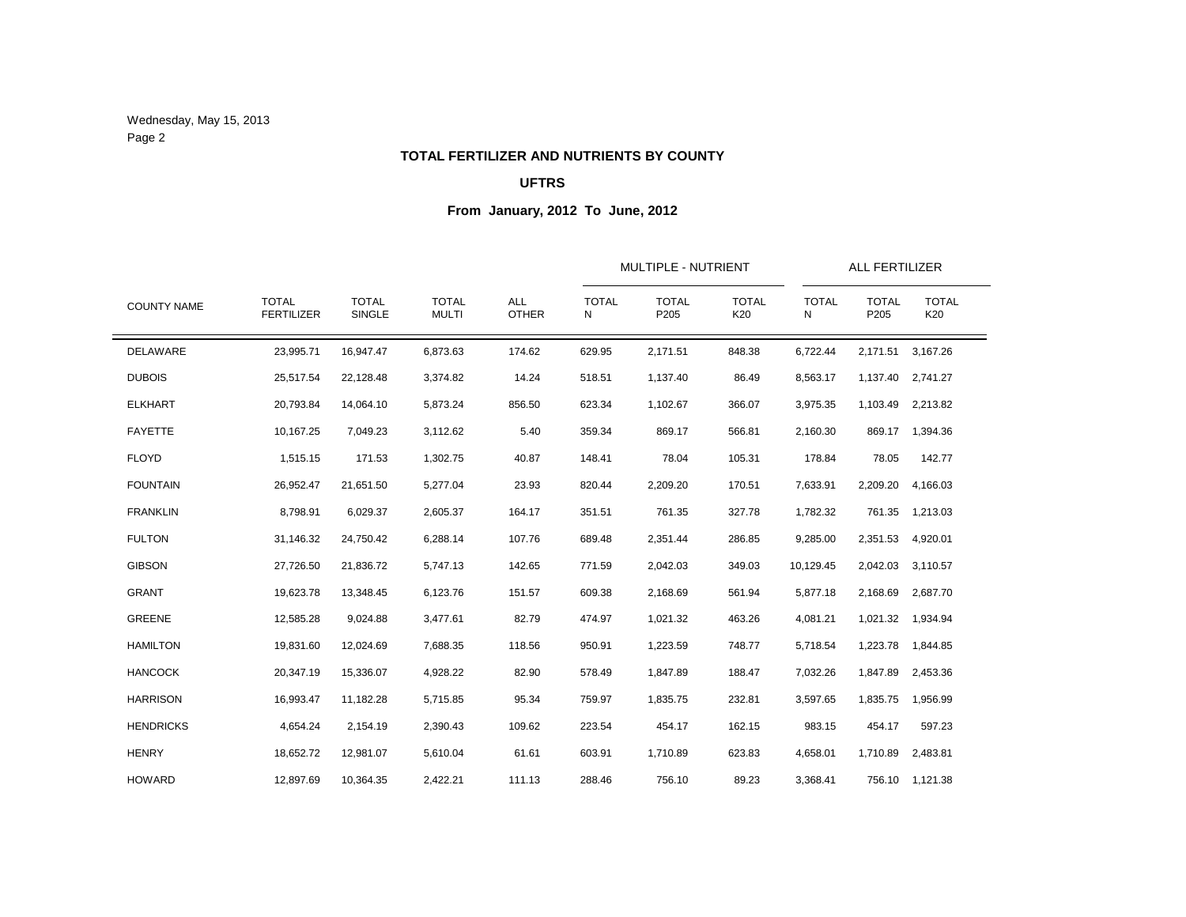Wednesday, May 15, 2013 Page 2

### **TOTAL FERTILIZER AND NUTRIENTS BY COUNTY**

## **UFTRS**

|                    |                                   |                        |                              |                     |                   | MULTIPLE - NUTRIENT  |                     |                   | <b>ALL FERTILIZER</b>            |                     |
|--------------------|-----------------------------------|------------------------|------------------------------|---------------------|-------------------|----------------------|---------------------|-------------------|----------------------------------|---------------------|
| <b>COUNTY NAME</b> | <b>TOTAL</b><br><b>FERTILIZER</b> | <b>TOTAL</b><br>SINGLE | <b>TOTAL</b><br><b>MULTI</b> | ALL<br><b>OTHER</b> | <b>TOTAL</b><br>N | <b>TOTAL</b><br>P205 | <b>TOTAL</b><br>K20 | <b>TOTAL</b><br>N | <b>TOTAL</b><br>P <sub>205</sub> | <b>TOTAL</b><br>K20 |
| DELAWARE           | 23,995.71                         | 16,947.47              | 6,873.63                     | 174.62              | 629.95            | 2,171.51             | 848.38              | 6,722.44          | 2,171.51                         | 3,167.26            |
| <b>DUBOIS</b>      | 25,517.54                         | 22,128.48              | 3,374.82                     | 14.24               | 518.51            | 1,137.40             | 86.49               | 8,563.17          | 1,137.40                         | 2,741.27            |
| <b>ELKHART</b>     | 20,793.84                         | 14,064.10              | 5,873.24                     | 856.50              | 623.34            | 1,102.67             | 366.07              | 3,975.35          | 1,103.49                         | 2,213.82            |
| <b>FAYETTE</b>     | 10,167.25                         | 7,049.23               | 3,112.62                     | 5.40                | 359.34            | 869.17               | 566.81              | 2,160.30          | 869.17                           | 1,394.36            |
| <b>FLOYD</b>       | 1,515.15                          | 171.53                 | 1,302.75                     | 40.87               | 148.41            | 78.04                | 105.31              | 178.84            | 78.05                            | 142.77              |
| <b>FOUNTAIN</b>    | 26,952.47                         | 21,651.50              | 5,277.04                     | 23.93               | 820.44            | 2,209.20             | 170.51              | 7,633.91          | 2,209.20                         | 4,166.03            |
| <b>FRANKLIN</b>    | 8,798.91                          | 6,029.37               | 2,605.37                     | 164.17              | 351.51            | 761.35               | 327.78              | 1,782.32          | 761.35                           | 1,213.03            |
| <b>FULTON</b>      | 31,146.32                         | 24,750.42              | 6,288.14                     | 107.76              | 689.48            | 2,351.44             | 286.85              | 9,285.00          | 2,351.53                         | 4,920.01            |
| <b>GIBSON</b>      | 27,726.50                         | 21,836.72              | 5,747.13                     | 142.65              | 771.59            | 2,042.03             | 349.03              | 10,129.45         | 2,042.03                         | 3,110.57            |
| <b>GRANT</b>       | 19,623.78                         | 13,348.45              | 6,123.76                     | 151.57              | 609.38            | 2,168.69             | 561.94              | 5,877.18          | 2,168.69                         | 2,687.70            |
| <b>GREENE</b>      | 12,585.28                         | 9,024.88               | 3,477.61                     | 82.79               | 474.97            | 1,021.32             | 463.26              | 4,081.21          | 1,021.32                         | 1,934.94            |
| <b>HAMILTON</b>    | 19,831.60                         | 12,024.69              | 7,688.35                     | 118.56              | 950.91            | 1,223.59             | 748.77              | 5,718.54          | 1,223.78                         | 1,844.85            |
| <b>HANCOCK</b>     | 20,347.19                         | 15,336.07              | 4,928.22                     | 82.90               | 578.49            | 1,847.89             | 188.47              | 7,032.26          | 1,847.89                         | 2,453.36            |
| <b>HARRISON</b>    | 16,993.47                         | 11,182.28              | 5,715.85                     | 95.34               | 759.97            | 1,835.75             | 232.81              | 3,597.65          | 1,835.75                         | 1,956.99            |
| <b>HENDRICKS</b>   | 4,654.24                          | 2,154.19               | 2,390.43                     | 109.62              | 223.54            | 454.17               | 162.15              | 983.15            | 454.17                           | 597.23              |
| <b>HENRY</b>       | 18,652.72                         | 12,981.07              | 5,610.04                     | 61.61               | 603.91            | 1,710.89             | 623.83              | 4,658.01          | 1,710.89                         | 2,483.81            |
| <b>HOWARD</b>      | 12,897.69                         | 10,364.35              | 2,422.21                     | 111.13              | 288.46            | 756.10               | 89.23               | 3,368.41          |                                  | 756.10 1,121.38     |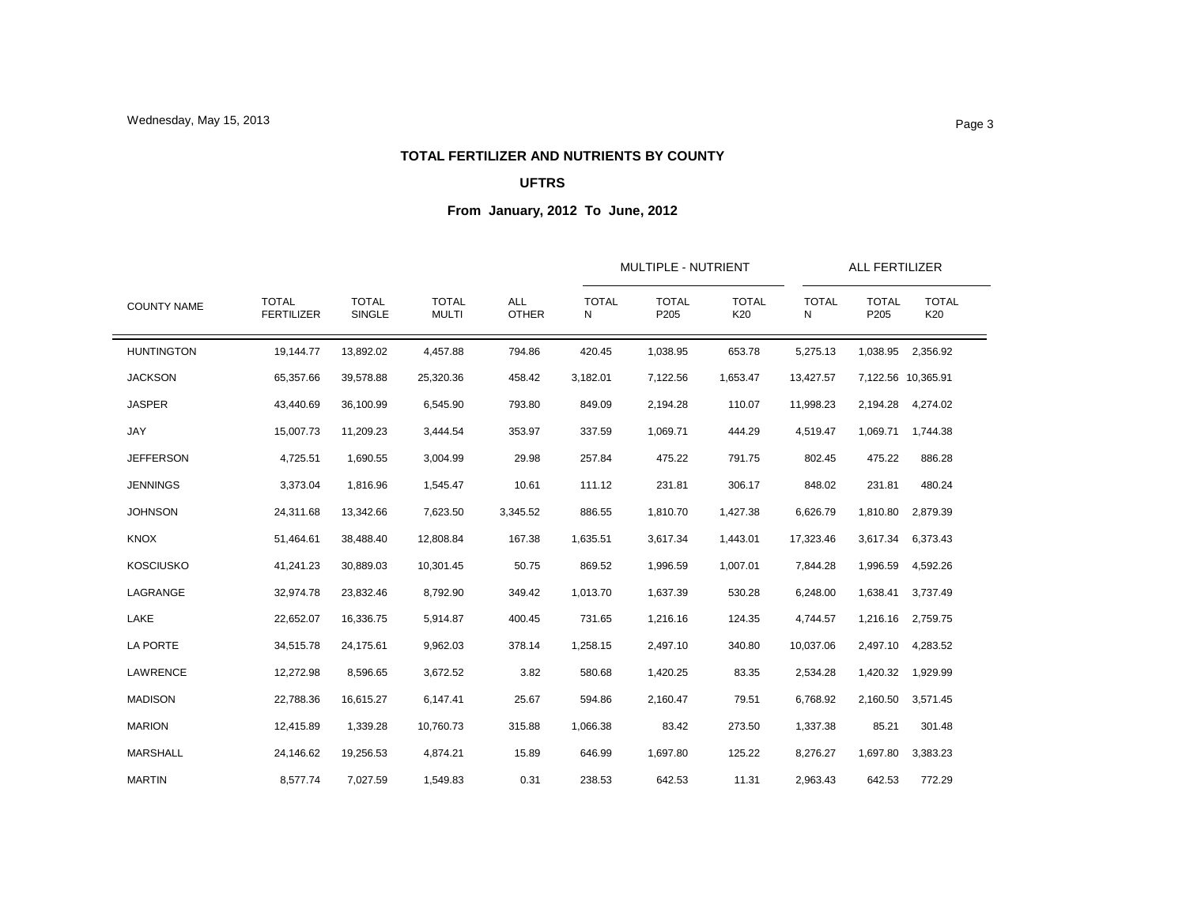#### **TOTAL FERTILIZER AND NUTRIENTS BY COUNTY**

## **UFTRS**

|                    |                                   |                               |                              |                            |                   | MULTIPLE - NUTRIENT  |                     |                   | ALL FERTILIZER       |                     |
|--------------------|-----------------------------------|-------------------------------|------------------------------|----------------------------|-------------------|----------------------|---------------------|-------------------|----------------------|---------------------|
| <b>COUNTY NAME</b> | <b>TOTAL</b><br><b>FERTILIZER</b> | <b>TOTAL</b><br><b>SINGLE</b> | <b>TOTAL</b><br><b>MULTI</b> | <b>ALL</b><br><b>OTHER</b> | <b>TOTAL</b><br>N | <b>TOTAL</b><br>P205 | <b>TOTAL</b><br>K20 | <b>TOTAL</b><br>N | <b>TOTAL</b><br>P205 | <b>TOTAL</b><br>K20 |
| <b>HUNTINGTON</b>  | 19,144.77                         | 13,892.02                     | 4,457.88                     | 794.86                     | 420.45            | 1,038.95             | 653.78              | 5,275.13          | 1,038.95             | 2,356.92            |
| <b>JACKSON</b>     | 65,357.66                         | 39,578.88                     | 25,320.36                    | 458.42                     | 3,182.01          | 7,122.56             | 1,653.47            | 13,427.57         |                      | 7,122.56 10,365.91  |
| <b>JASPER</b>      | 43,440.69                         | 36,100.99                     | 6,545.90                     | 793.80                     | 849.09            | 2,194.28             | 110.07              | 11,998.23         | 2,194.28             | 4,274.02            |
| JAY                | 15,007.73                         | 11,209.23                     | 3,444.54                     | 353.97                     | 337.59            | 1,069.71             | 444.29              | 4,519.47          | 1,069.71             | 1,744.38            |
| <b>JEFFERSON</b>   | 4,725.51                          | 1,690.55                      | 3,004.99                     | 29.98                      | 257.84            | 475.22               | 791.75              | 802.45            | 475.22               | 886.28              |
| <b>JENNINGS</b>    | 3,373.04                          | 1,816.96                      | 1,545.47                     | 10.61                      | 111.12            | 231.81               | 306.17              | 848.02            | 231.81               | 480.24              |
| <b>JOHNSON</b>     | 24,311.68                         | 13,342.66                     | 7,623.50                     | 3,345.52                   | 886.55            | 1,810.70             | 1,427.38            | 6,626.79          | 1,810.80             | 2,879.39            |
| <b>KNOX</b>        | 51,464.61                         | 38,488.40                     | 12,808.84                    | 167.38                     | 1,635.51          | 3,617.34             | 1,443.01            | 17,323.46         | 3,617.34             | 6,373.43            |
| <b>KOSCIUSKO</b>   | 41,241.23                         | 30,889.03                     | 10,301.45                    | 50.75                      | 869.52            | 1,996.59             | 1,007.01            | 7,844.28          | 1,996.59             | 4,592.26            |
| LAGRANGE           | 32,974.78                         | 23,832.46                     | 8,792.90                     | 349.42                     | 1,013.70          | 1,637.39             | 530.28              | 6,248.00          | 1,638.41             | 3,737.49            |
| LAKE               | 22,652.07                         | 16,336.75                     | 5,914.87                     | 400.45                     | 731.65            | 1,216.16             | 124.35              | 4,744.57          | 1,216.16             | 2,759.75            |
| <b>LA PORTE</b>    | 34,515.78                         | 24,175.61                     | 9,962.03                     | 378.14                     | 1,258.15          | 2,497.10             | 340.80              | 10,037.06         | 2,497.10             | 4,283.52            |
| LAWRENCE           | 12,272.98                         | 8,596.65                      | 3,672.52                     | 3.82                       | 580.68            | 1,420.25             | 83.35               | 2,534.28          | 1,420.32             | 1,929.99            |
| <b>MADISON</b>     | 22,788.36                         | 16,615.27                     | 6,147.41                     | 25.67                      | 594.86            | 2,160.47             | 79.51               | 6,768.92          | 2,160.50             | 3,571.45            |
| <b>MARION</b>      | 12,415.89                         | 1,339.28                      | 10,760.73                    | 315.88                     | 1,066.38          | 83.42                | 273.50              | 1,337.38          | 85.21                | 301.48              |
| <b>MARSHALL</b>    | 24,146.62                         | 19,256.53                     | 4,874.21                     | 15.89                      | 646.99            | 1,697.80             | 125.22              | 8,276.27          | 1,697.80             | 3,383.23            |
| <b>MARTIN</b>      | 8,577.74                          | 7,027.59                      | 1,549.83                     | 0.31                       | 238.53            | 642.53               | 11.31               | 2,963.43          | 642.53               | 772.29              |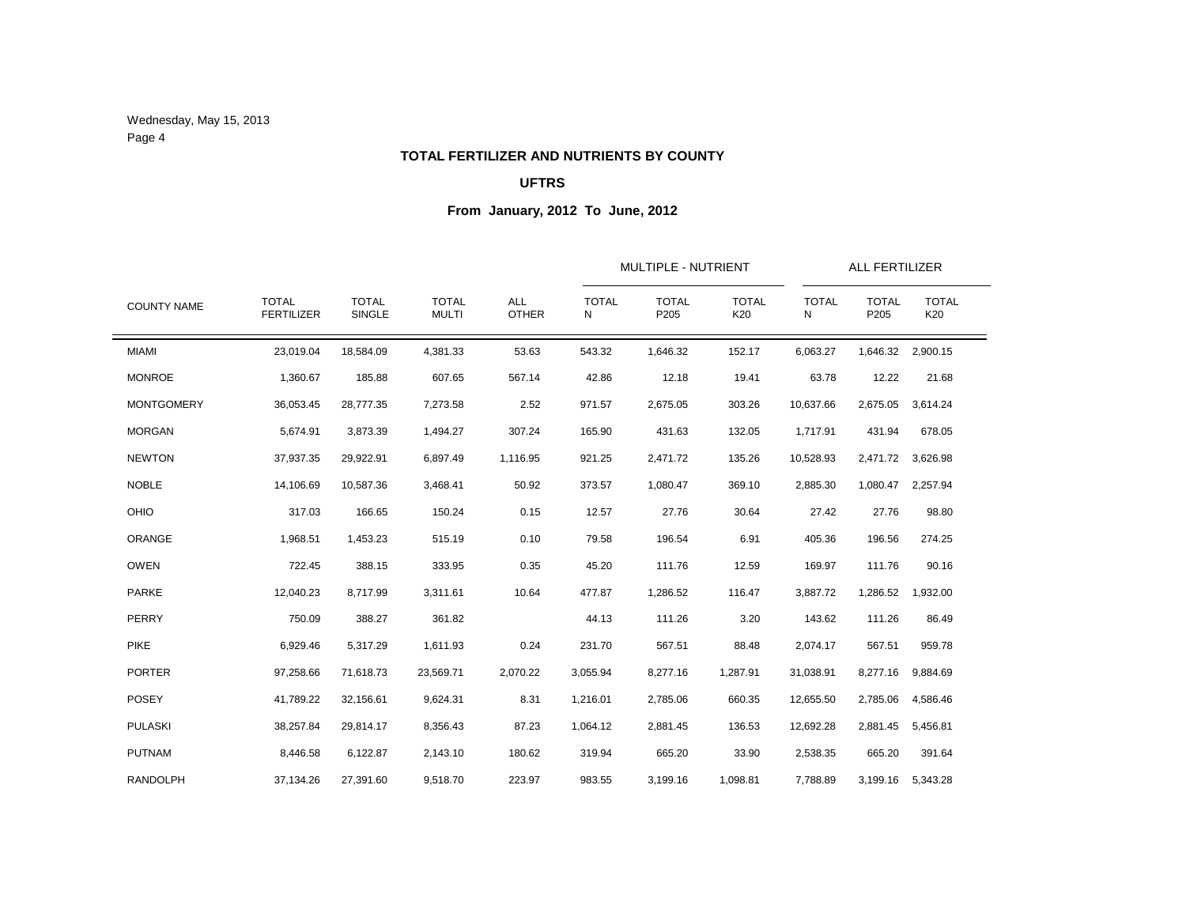Wednesday, May 15, 2013 Page 4

#### **TOTAL FERTILIZER AND NUTRIENTS BY COUNTY**

## **UFTRS**

|                    |                                   |                               |                              |                            |                   | MULTIPLE - NUTRIENT  |                     |                   | <b>ALL FERTILIZER</b>            |                     |
|--------------------|-----------------------------------|-------------------------------|------------------------------|----------------------------|-------------------|----------------------|---------------------|-------------------|----------------------------------|---------------------|
| <b>COUNTY NAME</b> | <b>TOTAL</b><br><b>FERTILIZER</b> | <b>TOTAL</b><br><b>SINGLE</b> | <b>TOTAL</b><br><b>MULTI</b> | <b>ALL</b><br><b>OTHER</b> | <b>TOTAL</b><br>N | <b>TOTAL</b><br>P205 | <b>TOTAL</b><br>K20 | <b>TOTAL</b><br>Ν | <b>TOTAL</b><br>P <sub>205</sub> | <b>TOTAL</b><br>K20 |
| <b>MIAMI</b>       | 23,019.04                         | 18,584.09                     | 4,381.33                     | 53.63                      | 543.32            | 1,646.32             | 152.17              | 6,063.27          | 1,646.32                         | 2,900.15            |
| <b>MONROE</b>      | 1,360.67                          | 185.88                        | 607.65                       | 567.14                     | 42.86             | 12.18                | 19.41               | 63.78             | 12.22                            | 21.68               |
| <b>MONTGOMERY</b>  | 36,053.45                         | 28,777.35                     | 7,273.58                     | 2.52                       | 971.57            | 2,675.05             | 303.26              | 10,637.66         | 2,675.05                         | 3,614.24            |
| <b>MORGAN</b>      | 5,674.91                          | 3,873.39                      | 1,494.27                     | 307.24                     | 165.90            | 431.63               | 132.05              | 1,717.91          | 431.94                           | 678.05              |
| <b>NEWTON</b>      | 37,937.35                         | 29,922.91                     | 6,897.49                     | 1,116.95                   | 921.25            | 2,471.72             | 135.26              | 10,528.93         | 2,471.72                         | 3,626.98            |
| <b>NOBLE</b>       | 14,106.69                         | 10,587.36                     | 3,468.41                     | 50.92                      | 373.57            | 1,080.47             | 369.10              | 2,885.30          | 1,080.47                         | 2,257.94            |
| OHIO               | 317.03                            | 166.65                        | 150.24                       | 0.15                       | 12.57             | 27.76                | 30.64               | 27.42             | 27.76                            | 98.80               |
| ORANGE             | 1,968.51                          | 1,453.23                      | 515.19                       | 0.10                       | 79.58             | 196.54               | 6.91                | 405.36            | 196.56                           | 274.25              |
| <b>OWEN</b>        | 722.45                            | 388.15                        | 333.95                       | 0.35                       | 45.20             | 111.76               | 12.59               | 169.97            | 111.76                           | 90.16               |
| <b>PARKE</b>       | 12,040.23                         | 8,717.99                      | 3,311.61                     | 10.64                      | 477.87            | 1,286.52             | 116.47              | 3,887.72          | 1,286.52                         | 1,932.00            |
| PERRY              | 750.09                            | 388.27                        | 361.82                       |                            | 44.13             | 111.26               | 3.20                | 143.62            | 111.26                           | 86.49               |
| <b>PIKE</b>        | 6,929.46                          | 5,317.29                      | 1,611.93                     | 0.24                       | 231.70            | 567.51               | 88.48               | 2,074.17          | 567.51                           | 959.78              |
| <b>PORTER</b>      | 97,258.66                         | 71,618.73                     | 23,569.71                    | 2,070.22                   | 3,055.94          | 8,277.16             | 1,287.91            | 31,038.91         | 8,277.16                         | 9,884.69            |
| <b>POSEY</b>       | 41,789.22                         | 32,156.61                     | 9,624.31                     | 8.31                       | 1,216.01          | 2,785.06             | 660.35              | 12,655.50         | 2,785.06                         | 4,586.46            |
| <b>PULASKI</b>     | 38,257.84                         | 29,814.17                     | 8,356.43                     | 87.23                      | 1,064.12          | 2,881.45             | 136.53              | 12,692.28         | 2,881.45                         | 5,456.81            |
| <b>PUTNAM</b>      | 8,446.58                          | 6,122.87                      | 2,143.10                     | 180.62                     | 319.94            | 665.20               | 33.90               | 2,538.35          | 665.20                           | 391.64              |
| <b>RANDOLPH</b>    | 37,134.26                         | 27,391.60                     | 9,518.70                     | 223.97                     | 983.55            | 3,199.16             | 1,098.81            | 7,788.89          | 3,199.16                         | 5,343.28            |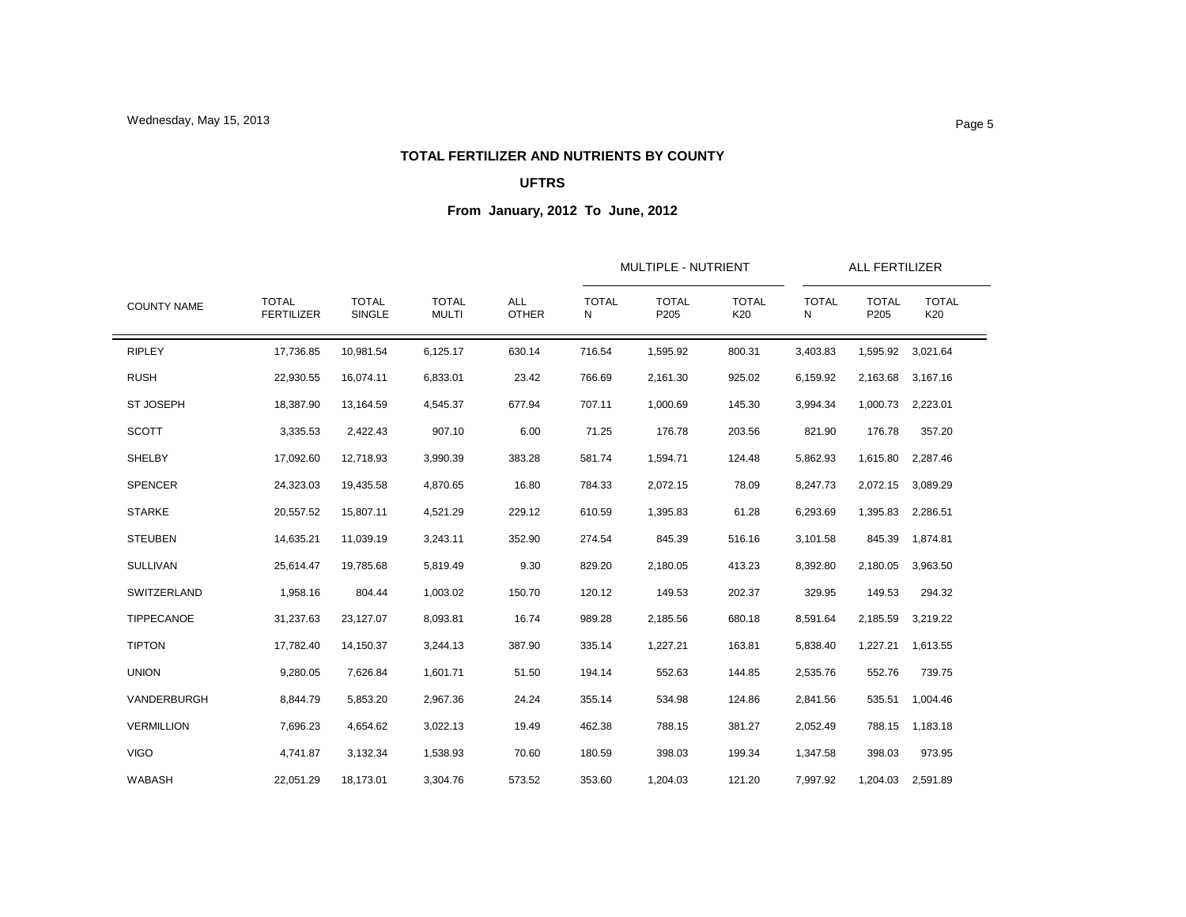#### **TOTAL FERTILIZER AND NUTRIENTS BY COUNTY**

## **UFTRS**

| <b>COUNTY NAME</b> | <b>TOTAL</b><br><b>FERTILIZER</b> | <b>TOTAL</b><br><b>SINGLE</b> | <b>TOTAL</b><br><b>MULTI</b> | <b>ALL</b><br><b>OTHER</b> | <b>TOTAL</b><br>Ν | MULTIPLE - NUTRIENT<br>ALL FERTILIZER<br><b>TOTAL</b><br><b>TOTAL</b><br><b>TOTAL</b><br><b>TOTAL</b><br>P205<br>K20<br>P205<br>N<br>800.31<br>3,403.83<br>1,595.92<br>1,595.92<br>2,161.30<br>925.02<br>6,159.92<br>2,163.68<br>1,000.69<br>145.30<br>3,994.34<br>1,000.73 2,223.01<br>176.78<br>203.56<br>821.90<br>176.78<br>1,594.71<br>124.48<br>5,862.93<br>1,615.80<br>2,072.15<br>78.09<br>8,247.73<br>2,072.15<br>1,395.83<br>61.28<br>6,293.69<br>1,395.83<br>845.39<br>516.16<br>3,101.58<br>845.39<br>2,180.05<br>413.23<br>8,392.80<br>2,180.05<br>149.53<br>202.37<br>329.95<br>149.53<br>680.18<br>2,185.56<br>8,591.64<br>2,185.59<br>1,227.21<br>163.81<br>5,838.40<br>1,227.21<br>552.63<br>144.85<br>2,535.76<br>552.76 | <b>TOTAL</b><br>K20 |          |        |                   |  |
|--------------------|-----------------------------------|-------------------------------|------------------------------|----------------------------|-------------------|--------------------------------------------------------------------------------------------------------------------------------------------------------------------------------------------------------------------------------------------------------------------------------------------------------------------------------------------------------------------------------------------------------------------------------------------------------------------------------------------------------------------------------------------------------------------------------------------------------------------------------------------------------------------------------------------------------------------------------------------|---------------------|----------|--------|-------------------|--|
| <b>RIPLEY</b>      | 17,736.85                         | 10,981.54                     | 6,125.17                     | 630.14                     | 716.54            |                                                                                                                                                                                                                                                                                                                                                                                                                                                                                                                                                                                                                                                                                                                                            |                     |          |        | 3,021.64          |  |
| <b>RUSH</b>        | 22,930.55                         | 16,074.11                     | 6,833.01                     | 23.42                      | 766.69            |                                                                                                                                                                                                                                                                                                                                                                                                                                                                                                                                                                                                                                                                                                                                            |                     |          |        | 3,167.16          |  |
| <b>ST JOSEPH</b>   | 18,387.90                         | 13,164.59                     | 4,545.37                     | 677.94                     | 707.11            |                                                                                                                                                                                                                                                                                                                                                                                                                                                                                                                                                                                                                                                                                                                                            |                     |          |        |                   |  |
| <b>SCOTT</b>       | 3,335.53                          | 2,422.43                      | 907.10                       | 6.00                       | 71.25             |                                                                                                                                                                                                                                                                                                                                                                                                                                                                                                                                                                                                                                                                                                                                            |                     |          |        | 357.20            |  |
| <b>SHELBY</b>      | 17,092.60                         | 12,718.93                     | 3,990.39                     | 383.28                     | 581.74            |                                                                                                                                                                                                                                                                                                                                                                                                                                                                                                                                                                                                                                                                                                                                            |                     |          |        | 2,287.46          |  |
| <b>SPENCER</b>     | 24,323.03                         | 19,435.58                     | 4,870.65                     | 16.80                      | 784.33            |                                                                                                                                                                                                                                                                                                                                                                                                                                                                                                                                                                                                                                                                                                                                            |                     |          |        | 3,089.29          |  |
| <b>STARKE</b>      | 20,557.52                         | 15,807.11                     | 4,521.29                     | 229.12                     | 610.59            |                                                                                                                                                                                                                                                                                                                                                                                                                                                                                                                                                                                                                                                                                                                                            |                     |          |        | 2,286.51          |  |
| <b>STEUBEN</b>     | 14,635.21                         | 11,039.19                     | 3,243.11                     | 352.90                     | 274.54            |                                                                                                                                                                                                                                                                                                                                                                                                                                                                                                                                                                                                                                                                                                                                            |                     |          |        | 1,874.81          |  |
| <b>SULLIVAN</b>    | 25,614.47                         | 19,785.68                     | 5,819.49                     | 9.30                       | 829.20            |                                                                                                                                                                                                                                                                                                                                                                                                                                                                                                                                                                                                                                                                                                                                            |                     |          |        | 3,963.50          |  |
| SWITZERLAND        | 1,958.16                          | 804.44                        | 1,003.02                     | 150.70                     | 120.12            |                                                                                                                                                                                                                                                                                                                                                                                                                                                                                                                                                                                                                                                                                                                                            |                     |          |        | 294.32            |  |
| TIPPECANOE         | 31,237.63                         | 23,127.07                     | 8,093.81                     | 16.74                      | 989.28            |                                                                                                                                                                                                                                                                                                                                                                                                                                                                                                                                                                                                                                                                                                                                            |                     |          |        | 3,219.22          |  |
| <b>TIPTON</b>      | 17,782.40                         | 14,150.37                     | 3,244.13                     | 387.90                     | 335.14            |                                                                                                                                                                                                                                                                                                                                                                                                                                                                                                                                                                                                                                                                                                                                            |                     |          |        | 1,613.55          |  |
| <b>UNION</b>       | 9,280.05                          | 7,626.84                      | 1,601.71                     | 51.50                      | 194.14            |                                                                                                                                                                                                                                                                                                                                                                                                                                                                                                                                                                                                                                                                                                                                            |                     |          |        | 739.75            |  |
| VANDERBURGH        | 8,844.79                          | 5,853.20                      | 2,967.36                     | 24.24                      | 355.14            | 534.98                                                                                                                                                                                                                                                                                                                                                                                                                                                                                                                                                                                                                                                                                                                                     | 124.86              | 2,841.56 | 535.51 | 1,004.46          |  |
| <b>VERMILLION</b>  | 7,696.23                          | 4,654.62                      | 3,022.13                     | 19.49                      | 462.38            | 788.15                                                                                                                                                                                                                                                                                                                                                                                                                                                                                                                                                                                                                                                                                                                                     | 381.27              | 2,052.49 | 788.15 | 1,183.18          |  |
| <b>VIGO</b>        | 4,741.87                          | 3,132.34                      | 1,538.93                     | 70.60                      | 180.59            | 398.03                                                                                                                                                                                                                                                                                                                                                                                                                                                                                                                                                                                                                                                                                                                                     | 199.34              | 1,347.58 | 398.03 | 973.95            |  |
| <b>WABASH</b>      | 22,051.29                         | 18,173.01                     | 3,304.76                     | 573.52                     | 353.60            | 1,204.03                                                                                                                                                                                                                                                                                                                                                                                                                                                                                                                                                                                                                                                                                                                                   | 121.20              | 7,997.92 |        | 1,204.03 2,591.89 |  |